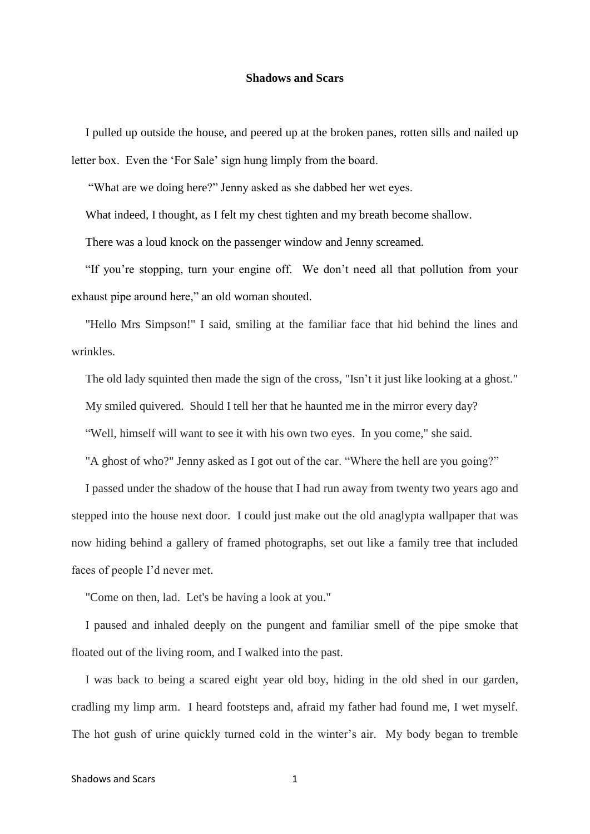## **Shadows and Scars**

I pulled up outside the house, and peered up at the broken panes, rotten sills and nailed up letter box. Even the 'For Sale' sign hung limply from the board.

"What are we doing here?" Jenny asked as she dabbed her wet eyes.

What indeed, I thought, as I felt my chest tighten and my breath become shallow.

There was a loud knock on the passenger window and Jenny screamed.

"If you're stopping, turn your engine off. We don't need all that pollution from your exhaust pipe around here," an old woman shouted.

"Hello Mrs Simpson!" I said, smiling at the familiar face that hid behind the lines and wrinkles.

The old lady squinted then made the sign of the cross, "Isn't it just like looking at a ghost."

My smiled quivered. Should I tell her that he haunted me in the mirror every day?

"Well, himself will want to see it with his own two eyes. In you come," she said.

"A ghost of who?" Jenny asked as I got out of the car. "Where the hell are you going?"

I passed under the shadow of the house that I had run away from twenty two years ago and stepped into the house next door. I could just make out the old anaglypta wallpaper that was now hiding behind a gallery of framed photographs, set out like a family tree that included faces of people I'd never met.

"Come on then, lad. Let's be having a look at you."

I paused and inhaled deeply on the pungent and familiar smell of the pipe smoke that floated out of the living room, and I walked into the past.

I was back to being a scared eight year old boy, hiding in the old shed in our garden, cradling my limp arm. I heard footsteps and, afraid my father had found me, I wet myself. The hot gush of urine quickly turned cold in the winter's air. My body began to tremble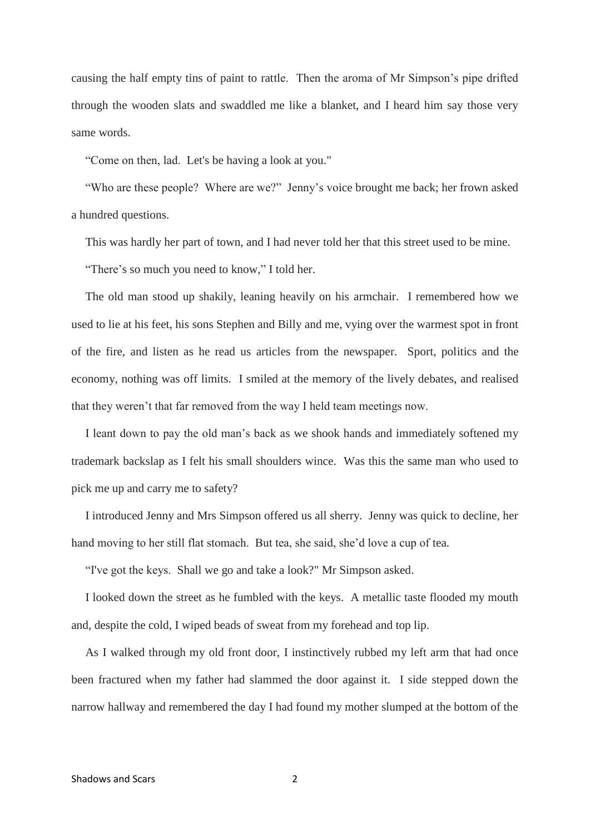causing the half empty tins of paint to rattle. Then the aroma of Mr Simpson's pipe drifted through the wooden slats and swaddled me like a blanket, and I heard him say those very same words.

"Come on then, lad. Let's be having a look at you."

"Who are these people? Where are we?" Jenny's voice brought me back; her frown asked a hundred questions.

This was hardly her part of town, and I had never told her that this street used to be mine.

"There's so much you need to know," I told her.

The old man stood up shakily, leaning heavily on his armchair. I remembered how we used to lie at his feet, his sons Stephen and Billy and me, vying over the warmest spot in front of the fire, and listen as he read us articles from the newspaper. Sport, politics and the economy, nothing was off limits. I smiled at the memory of the lively debates, and realised that they weren't that far removed from the way I held team meetings now.

I leant down to pay the old man's back as we shook hands and immediately softened my trademark backslap as I felt his small shoulders wince. Was this the same man who used to pick me up and carry me to safety?

I introduced Jenny and Mrs Simpson offered us all sherry. Jenny was quick to decline, her hand moving to her still flat stomach. But tea, she said, she'd love a cup of tea.

"I've got the keys. Shall we go and take a look?" Mr Simpson asked.

I looked down the street as he fumbled with the keys. A metallic taste flooded my mouth and, despite the cold, I wiped beads of sweat from my forehead and top lip.

As I walked through my old front door, I instinctively rubbed my left arm that had once been fractured when my father had slammed the door against it. I side stepped down the narrow hallway and remembered the day I had found my mother slumped at the bottom of the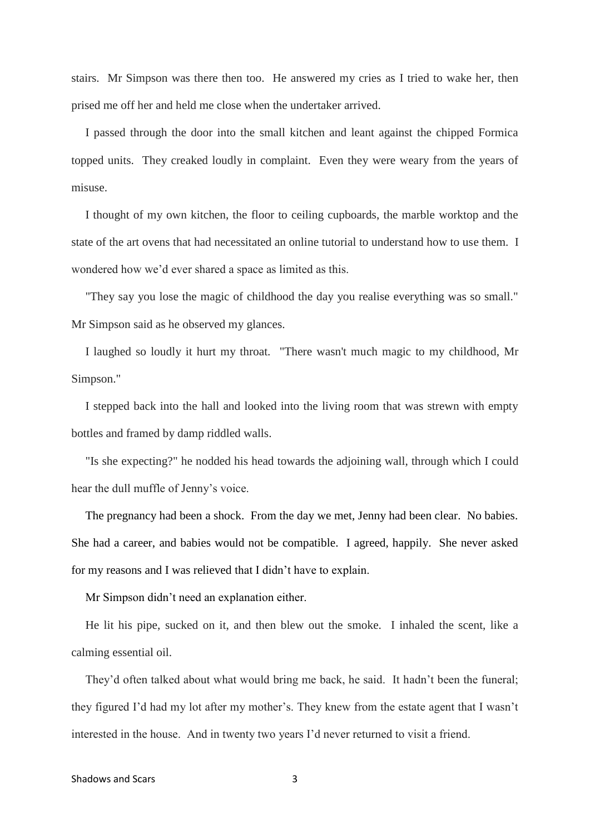stairs. Mr Simpson was there then too. He answered my cries as I tried to wake her, then prised me off her and held me close when the undertaker arrived.

I passed through the door into the small kitchen and leant against the chipped Formica topped units. They creaked loudly in complaint. Even they were weary from the years of misuse.

I thought of my own kitchen, the floor to ceiling cupboards, the marble worktop and the state of the art ovens that had necessitated an online tutorial to understand how to use them. I wondered how we'd ever shared a space as limited as this.

"They say you lose the magic of childhood the day you realise everything was so small." Mr Simpson said as he observed my glances.

I laughed so loudly it hurt my throat. "There wasn't much magic to my childhood, Mr Simpson."

I stepped back into the hall and looked into the living room that was strewn with empty bottles and framed by damp riddled walls.

"Is she expecting?" he nodded his head towards the adjoining wall, through which I could hear the dull muffle of Jenny's voice.

The pregnancy had been a shock. From the day we met, Jenny had been clear. No babies. She had a career, and babies would not be compatible. I agreed, happily. She never asked for my reasons and I was relieved that I didn't have to explain.

Mr Simpson didn't need an explanation either.

He lit his pipe, sucked on it, and then blew out the smoke. I inhaled the scent, like a calming essential oil.

They'd often talked about what would bring me back, he said. It hadn't been the funeral; they figured I'd had my lot after my mother's. They knew from the estate agent that I wasn't interested in the house. And in twenty two years I'd never returned to visit a friend.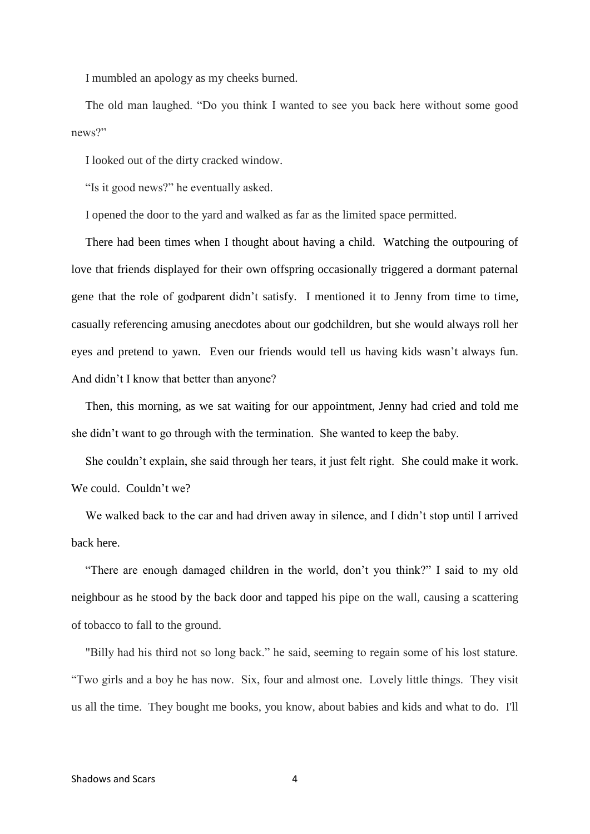I mumbled an apology as my cheeks burned.

The old man laughed. "Do you think I wanted to see you back here without some good news?"

I looked out of the dirty cracked window.

"Is it good news?" he eventually asked.

I opened the door to the yard and walked as far as the limited space permitted.

There had been times when I thought about having a child. Watching the outpouring of love that friends displayed for their own offspring occasionally triggered a dormant paternal gene that the role of godparent didn't satisfy. I mentioned it to Jenny from time to time, casually referencing amusing anecdotes about our godchildren, but she would always roll her eyes and pretend to yawn. Even our friends would tell us having kids wasn't always fun. And didn't I know that better than anyone?

Then, this morning, as we sat waiting for our appointment, Jenny had cried and told me she didn't want to go through with the termination. She wanted to keep the baby.

She couldn't explain, she said through her tears, it just felt right. She could make it work. We could. Couldn't we?

We walked back to the car and had driven away in silence, and I didn't stop until I arrived back here.

"There are enough damaged children in the world, don't you think?" I said to my old neighbour as he stood by the back door and tapped his pipe on the wall, causing a scattering of tobacco to fall to the ground.

"Billy had his third not so long back." he said, seeming to regain some of his lost stature. "Two girls and a boy he has now. Six, four and almost one. Lovely little things. They visit us all the time. They bought me books, you know, about babies and kids and what to do. I'll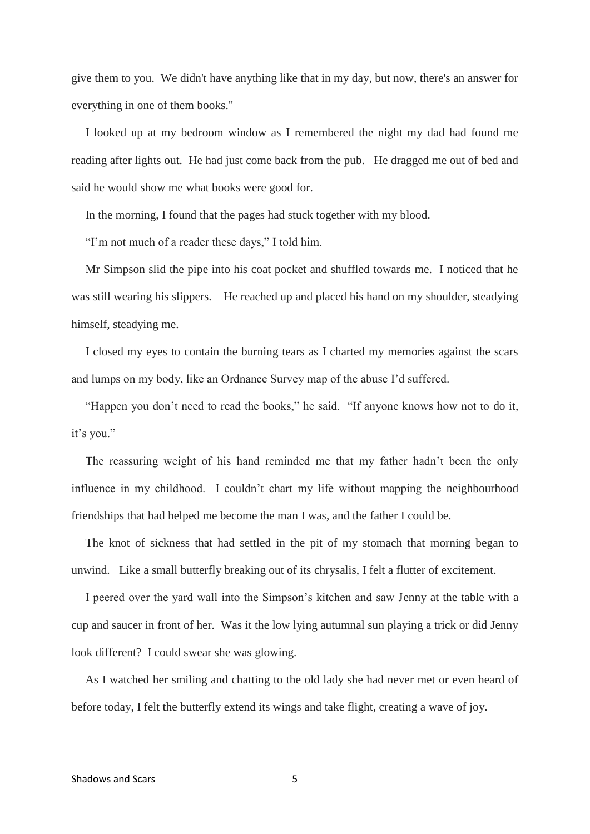give them to you. We didn't have anything like that in my day, but now, there's an answer for everything in one of them books."

I looked up at my bedroom window as I remembered the night my dad had found me reading after lights out. He had just come back from the pub. He dragged me out of bed and said he would show me what books were good for.

In the morning, I found that the pages had stuck together with my blood.

"I'm not much of a reader these days," I told him.

Mr Simpson slid the pipe into his coat pocket and shuffled towards me. I noticed that he was still wearing his slippers. He reached up and placed his hand on my shoulder, steadying himself, steadying me.

I closed my eyes to contain the burning tears as I charted my memories against the scars and lumps on my body, like an Ordnance Survey map of the abuse I'd suffered.

"Happen you don't need to read the books," he said. "If anyone knows how not to do it, it's you."

The reassuring weight of his hand reminded me that my father hadn't been the only influence in my childhood. I couldn't chart my life without mapping the neighbourhood friendships that had helped me become the man I was, and the father I could be.

The knot of sickness that had settled in the pit of my stomach that morning began to unwind. Like a small butterfly breaking out of its chrysalis, I felt a flutter of excitement.

I peered over the yard wall into the Simpson's kitchen and saw Jenny at the table with a cup and saucer in front of her. Was it the low lying autumnal sun playing a trick or did Jenny look different? I could swear she was glowing.

As I watched her smiling and chatting to the old lady she had never met or even heard of before today, I felt the butterfly extend its wings and take flight, creating a wave of joy.